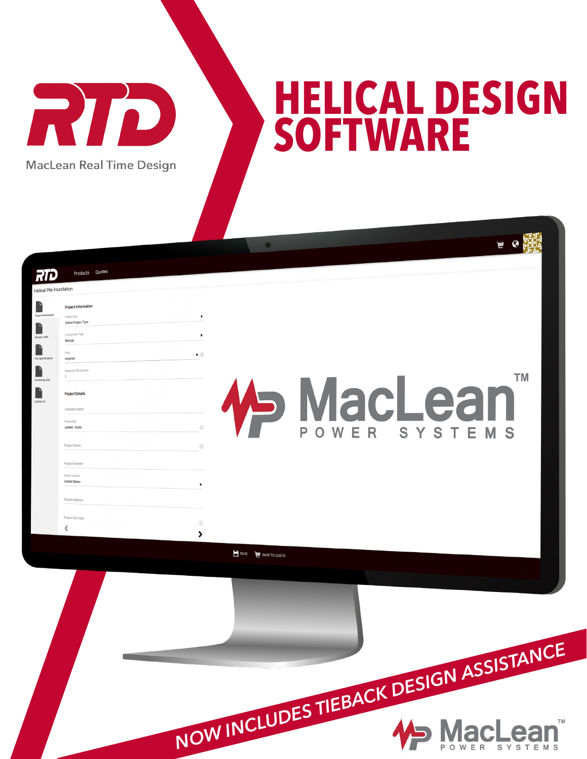RID **MacLean Real Time Design** 

## **HELICAL DESIGN SOFTWARE**

 $\begin{picture}(130,10) \put(0,0){\line(1,0){15}} \put(15,0){\line(1,0){15}} \put(15,0){\line(1,0){15}} \put(15,0){\line(1,0){15}} \put(15,0){\line(1,0){15}} \put(15,0){\line(1,0){15}} \put(15,0){\line(1,0){15}} \put(15,0){\line(1,0){15}} \put(15,0){\line(1,0){15}} \put(15,0){\line(1,0){15}} \put(15,0){\line(1,0){15}} \put(15,0){\line($ 

**TM** 

Products Quotes RTD Helical Pile Foundation Project Informatio Select Project Type Manual  $\bullet$  0 Imperial F **VacLear** F **Project Details** Company Name Prepared By Lynette Stutts Project Nam Project Numb **United States** Project Addres Project Zip Code  $\circledcirc$ ∢  $\rightarrow$ SAVE WE SAVE TO QUOTE